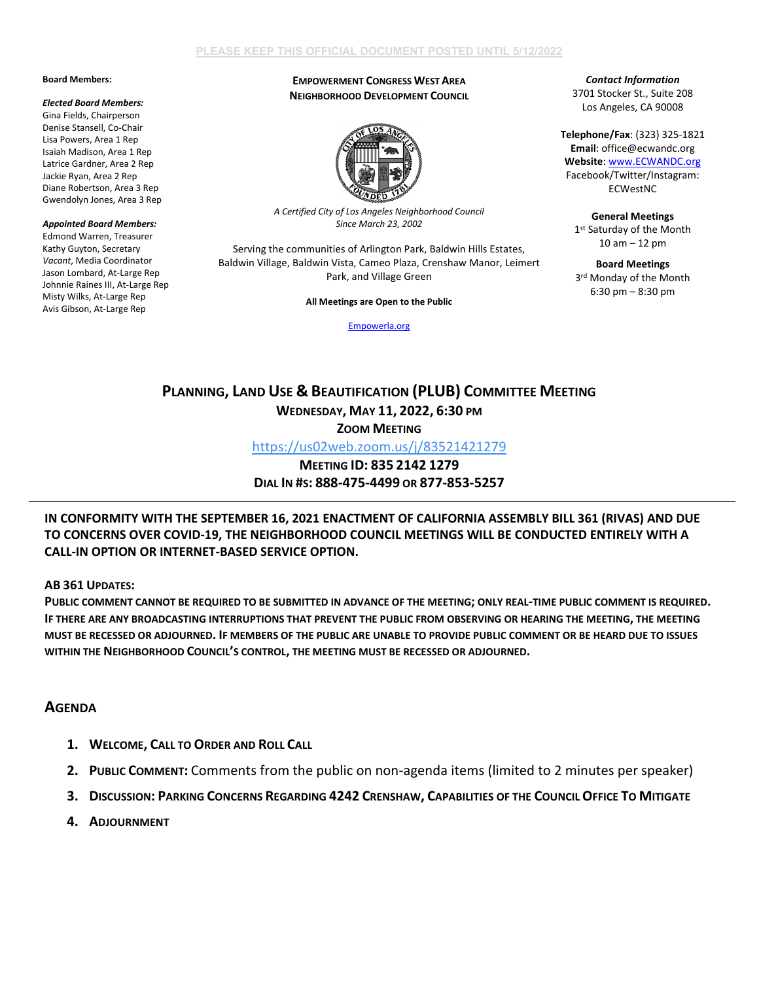### **Board Members:**

#### *Elected Board Members:*

Gina Fields, Chairperson Denise Stansell, Co-Chair Lisa Powers, Area 1 Rep Isaiah Madison, Area 1 Rep Latrice Gardner, Area 2 Rep Jackie Ryan, Area 2 Rep Diane Robertson, Area 3 Rep Gwendolyn Jones, Area 3 Rep

### *Appointed Board Members:* Edmond Warren, Treasurer Kathy Guyton, Secretary *Vacant*, Media Coordinator Jason Lombard, At-Large Rep Johnnie Raines III, At-Large Rep Misty Wilks, At-Large Rep Avis Gibson, At-Large Rep

# **EMPOWERMENT CONGRESS WEST AREA NEIGHBORHOOD DEVELOPMENT COUNCIL**



*A Certified City of Los Angeles Neighborhood Council Since March 23, 2002*

Serving the communities of Arlington Park, Baldwin Hills Estates, Baldwin Village, Baldwin Vista, Cameo Plaza, Crenshaw Manor, Leimert Park, and Village Green

**All Meetings are Open to the Public**

[Empowerla.org](http://www.empowerla.org/)

## *Contact Information* 3701 Stocker St., Suite 208 Los Angeles, CA 90008

**Telephone/Fax**: (323) 325-1821 **Email**: office@ecwandc.org **Website**[: www.ECWANDC.org](http://www.ecwandc.org/) Facebook/Twitter/Instagram: ECWestNC

**General Meetings** 1st Saturday of the Month 10 am – 12 pm

**Board Meetings** 3rd Monday of the Month 6:30 pm – 8:30 pm

# **PLANNING, LAND USE & BEAUTIFICATION (PLUB) COMMITTEE MEETING WEDNESDAY, MAY 11, 2022, 6:30 PM**

**ZOOM MEETING**

<https://us02web.zoom.us/j/83521421279>

**MEETING ID: 835 2142 1279 DIAL IN #S: 888-475-4499 OR 877-853-5257**

**IN CONFORMITY WITH THE SEPTEMBER 16, 2021 ENACTMENT OF CALIFORNIA ASSEMBLY BILL 361 (RIVAS) AND DUE TO CONCERNS OVER COVID-19, THE NEIGHBORHOOD COUNCIL MEETINGS WILL BE CONDUCTED ENTIRELY WITH A CALL-IN OPTION OR INTERNET-BASED SERVICE OPTION.**

**AB 361 UPDATES:**

**PUBLIC COMMENT CANNOT BE REQUIRED TO BE SUBMITTED IN ADVANCE OF THE MEETING; ONLY REAL-TIME PUBLIC COMMENT IS REQUIRED. IF THERE ARE ANY BROADCASTING INTERRUPTIONS THAT PREVENT THE PUBLIC FROM OBSERVING OR HEARING THE MEETING, THE MEETING MUST BE RECESSED OR ADJOURNED. IF MEMBERS OF THE PUBLIC ARE UNABLE TO PROVIDE PUBLIC COMMENT OR BE HEARD DUE TO ISSUES WITHIN THE NEIGHBORHOOD COUNCIL'S CONTROL, THE MEETING MUST BE RECESSED OR ADJOURNED.**

# **AGENDA**

- **1. WELCOME, CALL TO ORDER AND ROLL CALL**
- **2. PUBLIC COMMENT:** Comments from the public on non-agenda items (limited to 2 minutes per speaker)
- **3. DISCUSSION: PARKING CONCERNS REGARDING 4242 CRENSHAW, CAPABILITIES OF THE COUNCIL OFFICE TO MITIGATE**
- **4. ADJOURNMENT**